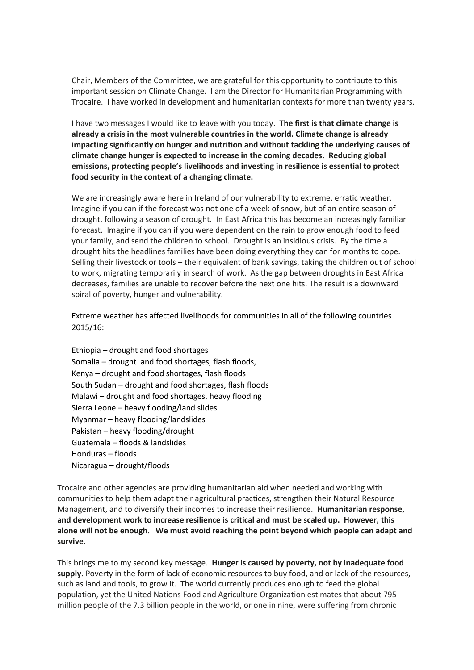Chair, Members of the Committee, we are grateful for this opportunity to contribute to this important session on Climate Change. I am the Director for Humanitarian Programming with Trocaire. I have worked in development and humanitarian contexts for more than twenty years.

I have two messages I would like to leave with you today. **The first is that climate change is already a crisis in the most vulnerable countries in the world. Climate change is already impacting significantly on hunger and nutrition and without tackling the underlying causes of climate change hunger is expected to increase in the coming decades. Reducing global emissions, protecting people's livelihoods and investing in resilience is essential to protect food security in the context of a changing climate.**

We are increasingly aware here in Ireland of our vulnerability to extreme, erratic weather. Imagine if you can if the forecast was not one of a week of snow, but of an entire season of drought, following a season of drought. In East Africa this has become an increasingly familiar forecast. Imagine if you can if you were dependent on the rain to grow enough food to feed your family, and send the children to school. Drought is an insidious crisis. By the time a drought hits the headlines families have been doing everything they can for months to cope. Selling their livestock or tools – their equivalent of bank savings, taking the children out of school to work, migrating temporarily in search of work. As the gap between droughts in East Africa decreases, families are unable to recover before the next one hits. The result is a downward spiral of poverty, hunger and vulnerability.

Extreme weather has affected livelihoods for communities in all of the following countries 2015/16:

Ethiopia – drought and food shortages Somalia – drought and food shortages, flash floods, Kenya – drought and food shortages, flash floods South Sudan – drought and food shortages, flash floods Malawi – drought and food shortages, heavy flooding Sierra Leone – heavy flooding/land slides Myanmar – heavy flooding/landslides Pakistan – heavy flooding/drought Guatemala – floods & landslides Honduras – floods Nicaragua – drought/floods

Trocaire and other agencies are providing humanitarian aid when needed and working with communities to help them adapt their agricultural practices, strengthen their Natural Resource Management, and to diversify their incomes to increase their resilience. **Humanitarian response, and development work to increase resilience is critical and must be scaled up. However, this alone will not be enough. We must avoid reaching the point beyond which people can adapt and survive.**

This brings me to my second key message. **Hunger is caused by poverty, not by inadequate food supply.** Poverty in the form of lack of economic resources to buy food, and or lack of the resources, such as land and tools, to grow it. The world currently produces enough to feed the global population, yet the United Nations Food and Agriculture Organization estimates that about 795 million people of the 7.3 billion people in the world, or one in nine, were suffering from chronic